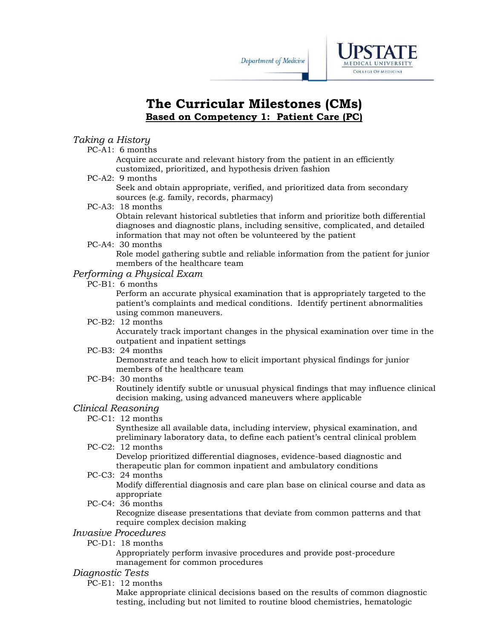



# **The Curricular Milestones (CMs) Based on Competency 1: Patient Care (PC)**

### *Taking a History*

PC-A1: 6 months

Acquire accurate and relevant history from the patient in an efficiently customized, prioritized, and hypothesis driven fashion

PC-A2: 9 months

Seek and obtain appropriate, verified, and prioritized data from secondary sources (e.g. family, records, pharmacy)

PC-A3: 18 months

Obtain relevant historical subtleties that inform and prioritize both differential diagnoses and diagnostic plans, including sensitive, complicated, and detailed information that may not often be volunteered by the patient

PC-A4: 30 months

Role model gathering subtle and reliable information from the patient for junior members of the healthcare team

## *Performing a Physical Exam*

PC-B1: 6 months

Perform an accurate physical examination that is appropriately targeted to the patient's complaints and medical conditions. Identify pertinent abnormalities using common maneuvers.

PC-B2: 12 months

Accurately track important changes in the physical examination over time in the outpatient and inpatient settings

PC-B3: 24 months

Demonstrate and teach how to elicit important physical findings for junior members of the healthcare team

PC-B4: 30 months

Routinely identify subtle or unusual physical findings that may influence clinical decision making, using advanced maneuvers where applicable

#### *Clinical Reasoning*

PC-C1: 12 months

Synthesize all available data, including interview, physical examination, and preliminary laboratory data, to define each patient's central clinical problem

PC-C2: 12 months

Develop prioritized differential diagnoses, evidence-based diagnostic and therapeutic plan for common inpatient and ambulatory conditions

PC-C3: 24 months

Modify differential diagnosis and care plan base on clinical course and data as appropriate

PC-C4: 36 months

Recognize disease presentations that deviate from common patterns and that require complex decision making

## *Invasive Procedures*

PC-D1: 18 months

Appropriately perform invasive procedures and provide post-procedure management for common procedures

### *Diagnostic Tests*

PC-E1: 12 months

Make appropriate clinical decisions based on the results of common diagnostic testing, including but not limited to routine blood chemistries, hematologic